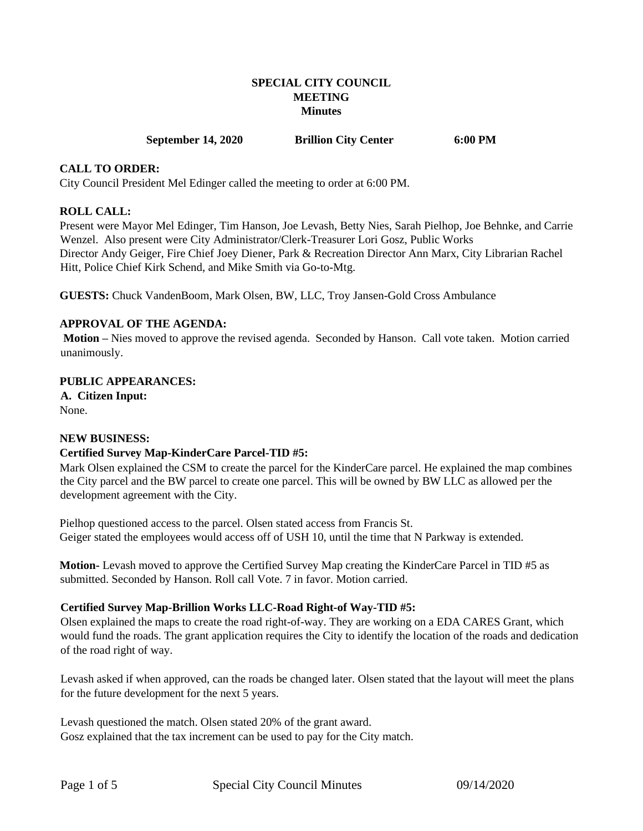## **SPECIAL CITY COUNCIL MEETING Minutes**

**September 14, 2020 Brillion City Center 6:00 PM** 

#### **CALL TO ORDER:**

City Council President Mel Edinger called the meeting to order at 6:00 PM.

#### **ROLL CALL:**

Present were Mayor Mel Edinger, Tim Hanson, Joe Levash, Betty Nies, Sarah Pielhop, Joe Behnke, and Carrie Wenzel. Also present were City Administrator/Clerk-Treasurer Lori Gosz, Public Works Director Andy Geiger, Fire Chief Joey Diener, Park & Recreation Director Ann Marx, City Librarian Rachel Hitt, Police Chief Kirk Schend, and Mike Smith via Go-to-Mtg.

**GUESTS:** Chuck VandenBoom, Mark Olsen, BW, LLC, Troy Jansen-Gold Cross Ambulance

## **APPROVAL OF THE AGENDA:**

**Motion –** Nies moved to approve the revised agenda. Seconded by Hanson. Call vote taken. Motion carried unanimously.

#### **PUBLIC APPEARANCES:**

**A. Citizen Input:**  None.

#### **NEW BUSINESS:**

## **Certified Survey Map-KinderCare Parcel-TID #5:**

Mark Olsen explained the CSM to create the parcel for the KinderCare parcel. He explained the map combines the City parcel and the BW parcel to create one parcel. This will be owned by BW LLC as allowed per the development agreement with the City.

Pielhop questioned access to the parcel. Olsen stated access from Francis St. Geiger stated the employees would access off of USH 10, until the time that N Parkway is extended.

**Motion-** Levash moved to approve the Certified Survey Map creating the KinderCare Parcel in TID #5 as submitted. Seconded by Hanson. Roll call Vote. 7 in favor. Motion carried.

#### **Certified Survey Map-Brillion Works LLC-Road Right-of Way-TID #5:**

Olsen explained the maps to create the road right-of-way. They are working on a EDA CARES Grant, which would fund the roads. The grant application requires the City to identify the location of the roads and dedication of the road right of way.

Levash asked if when approved, can the roads be changed later. Olsen stated that the layout will meet the plans for the future development for the next 5 years.

Levash questioned the match. Olsen stated 20% of the grant award. Gosz explained that the tax increment can be used to pay for the City match.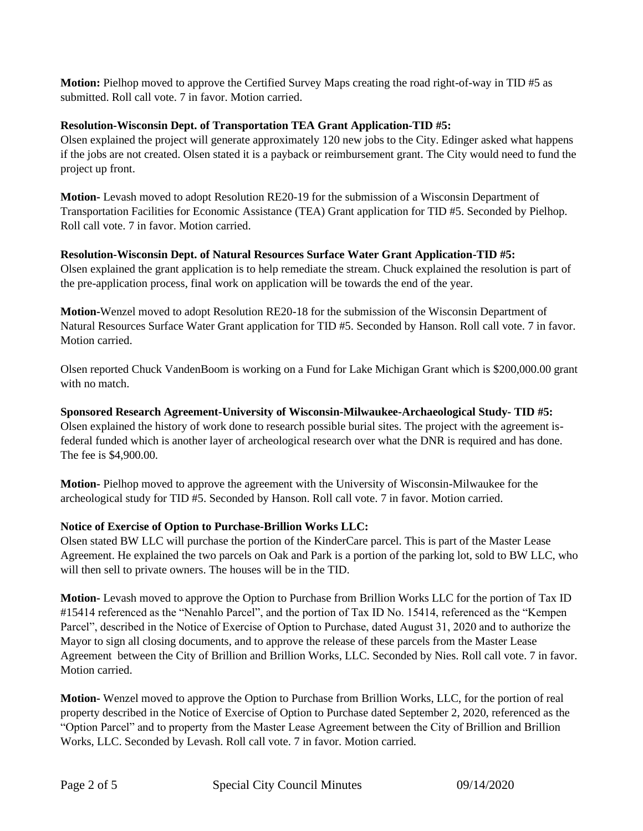**Motion:** Pielhop moved to approve the Certified Survey Maps creating the road right-of-way in TID #5 as submitted. Roll call vote. 7 in favor. Motion carried.

# **Resolution-Wisconsin Dept. of Transportation TEA Grant Application-TID #5:**

Olsen explained the project will generate approximately 120 new jobs to the City. Edinger asked what happens if the jobs are not created. Olsen stated it is a payback or reimbursement grant. The City would need to fund the project up front.

**Motion-** Levash moved to adopt Resolution RE20-19 for the submission of a Wisconsin Department of Transportation Facilities for Economic Assistance (TEA) Grant application for TID #5. Seconded by Pielhop. Roll call vote. 7 in favor. Motion carried.

# **Resolution-Wisconsin Dept. of Natural Resources Surface Water Grant Application-TID #5:**

Olsen explained the grant application is to help remediate the stream. Chuck explained the resolution is part of the pre-application process, final work on application will be towards the end of the year.

**Motion-**Wenzel moved to adopt Resolution RE20-18 for the submission of the Wisconsin Department of Natural Resources Surface Water Grant application for TID #5. Seconded by Hanson. Roll call vote. 7 in favor. Motion carried.

Olsen reported Chuck VandenBoom is working on a Fund for Lake Michigan Grant which is \$200,000.00 grant with no match.

**Sponsored Research Agreement-University of Wisconsin-Milwaukee-Archaeological Study- TID #5:** Olsen explained the history of work done to research possible burial sites. The project with the agreement isfederal funded which is another layer of archeological research over what the DNR is required and has done. The fee is \$4,900.00.

**Motion-** Pielhop moved to approve the agreement with the University of Wisconsin-Milwaukee for the archeological study for TID #5. Seconded by Hanson. Roll call vote. 7 in favor. Motion carried.

# **Notice of Exercise of Option to Purchase-Brillion Works LLC:**

Olsen stated BW LLC will purchase the portion of the KinderCare parcel. This is part of the Master Lease Agreement. He explained the two parcels on Oak and Park is a portion of the parking lot, sold to BW LLC, who will then sell to private owners. The houses will be in the TID.

**Motion-** Levash moved to approve the Option to Purchase from Brillion Works LLC for the portion of Tax ID #15414 referenced as the "Nenahlo Parcel", and the portion of Tax ID No. 15414, referenced as the "Kempen Parcel", described in the Notice of Exercise of Option to Purchase, dated August 31, 2020 and to authorize the Mayor to sign all closing documents, and to approve the release of these parcels from the Master Lease Agreement between the City of Brillion and Brillion Works, LLC. Seconded by Nies. Roll call vote. 7 in favor. Motion carried.

**Motion-** Wenzel moved to approve the Option to Purchase from Brillion Works, LLC, for the portion of real property described in the Notice of Exercise of Option to Purchase dated September 2, 2020, referenced as the "Option Parcel" and to property from the Master Lease Agreement between the City of Brillion and Brillion Works, LLC. Seconded by Levash. Roll call vote. 7 in favor. Motion carried.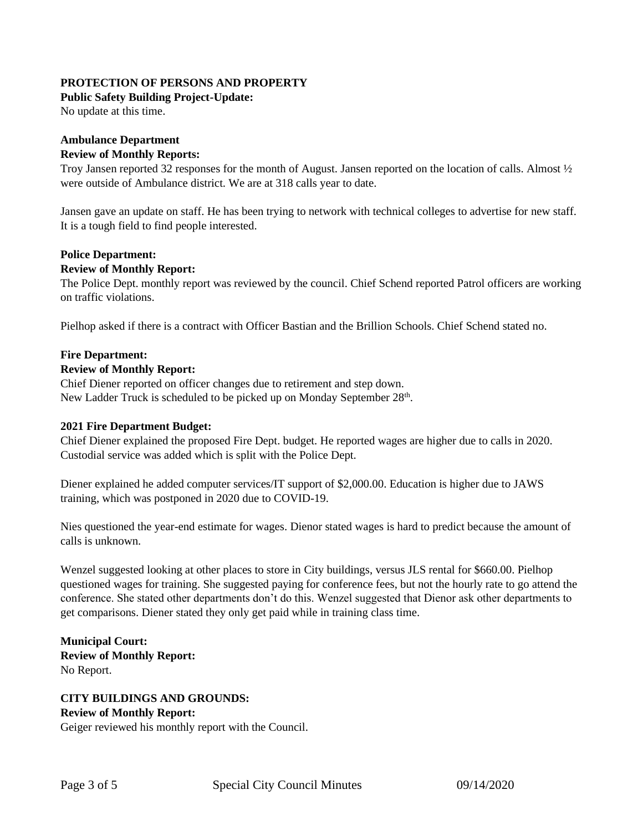# **PROTECTION OF PERSONS AND PROPERTY**

## **Public Safety Building Project-Update:**

No update at this time.

# **Ambulance Department**

## **Review of Monthly Reports:**

Troy Jansen reported 32 responses for the month of August. Jansen reported on the location of calls. Almost ½ were outside of Ambulance district. We are at 318 calls year to date.

Jansen gave an update on staff. He has been trying to network with technical colleges to advertise for new staff. It is a tough field to find people interested.

# **Police Department:**

## **Review of Monthly Report:**

The Police Dept. monthly report was reviewed by the council. Chief Schend reported Patrol officers are working on traffic violations.

Pielhop asked if there is a contract with Officer Bastian and the Brillion Schools. Chief Schend stated no.

## **Fire Department:**

## **Review of Monthly Report:**

Chief Diener reported on officer changes due to retirement and step down. New Ladder Truck is scheduled to be picked up on Monday September 28<sup>th</sup>.

## **2021 Fire Department Budget:**

Chief Diener explained the proposed Fire Dept. budget. He reported wages are higher due to calls in 2020. Custodial service was added which is split with the Police Dept.

Diener explained he added computer services/IT support of \$2,000.00. Education is higher due to JAWS training, which was postponed in 2020 due to COVID-19.

Nies questioned the year-end estimate for wages. Dienor stated wages is hard to predict because the amount of calls is unknown.

Wenzel suggested looking at other places to store in City buildings, versus JLS rental for \$660.00. Pielhop questioned wages for training. She suggested paying for conference fees, but not the hourly rate to go attend the conference. She stated other departments don't do this. Wenzel suggested that Dienor ask other departments to get comparisons. Diener stated they only get paid while in training class time.

**Municipal Court: Review of Monthly Report:** No Report.

**CITY BUILDINGS AND GROUNDS: Review of Monthly Report:** Geiger reviewed his monthly report with the Council.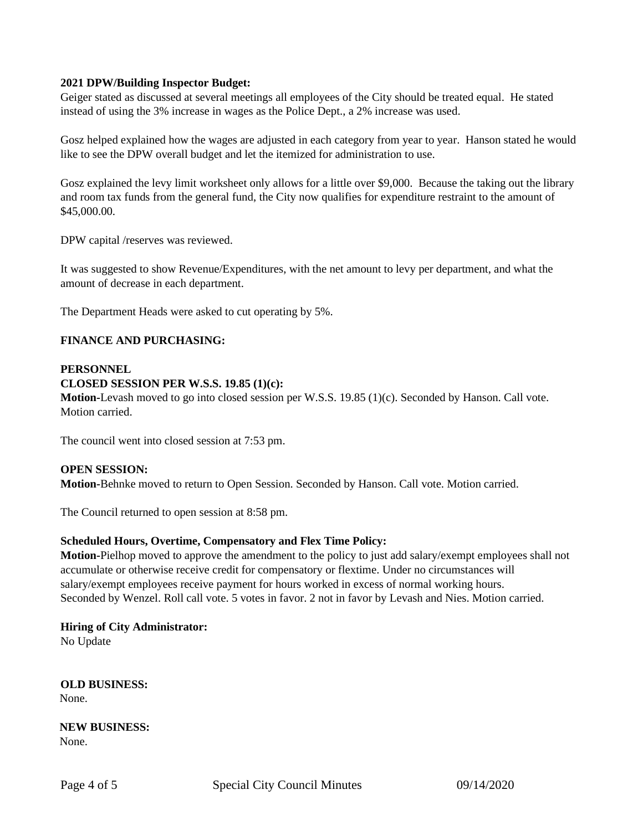## **2021 DPW/Building Inspector Budget:**

Geiger stated as discussed at several meetings all employees of the City should be treated equal. He stated instead of using the 3% increase in wages as the Police Dept., a 2% increase was used.

Gosz helped explained how the wages are adjusted in each category from year to year. Hanson stated he would like to see the DPW overall budget and let the itemized for administration to use.

Gosz explained the levy limit worksheet only allows for a little over \$9,000. Because the taking out the library and room tax funds from the general fund, the City now qualifies for expenditure restraint to the amount of \$45,000.00.

DPW capital /reserves was reviewed.

It was suggested to show Revenue/Expenditures, with the net amount to levy per department, and what the amount of decrease in each department.

The Department Heads were asked to cut operating by 5%.

## **FINANCE AND PURCHASING:**

#### **PERSONNEL**

#### **CLOSED SESSION PER W.S.S. 19.85 (1)(c):**

**Motion-**Levash moved to go into closed session per W.S.S. 19.85 (1)(c). Seconded by Hanson. Call vote. Motion carried.

The council went into closed session at 7:53 pm.

#### **OPEN SESSION:**

**Motion-**Behnke moved to return to Open Session. Seconded by Hanson. Call vote. Motion carried.

The Council returned to open session at 8:58 pm.

#### **Scheduled Hours, Overtime, Compensatory and Flex Time Policy:**

**Motion-**Pielhop moved to approve the amendment to the policy to just add salary/exempt employees shall not accumulate or otherwise receive credit for compensatory or flextime. Under no circumstances will salary/exempt employees receive payment for hours worked in excess of normal working hours. Seconded by Wenzel. Roll call vote. 5 votes in favor. 2 not in favor by Levash and Nies. Motion carried.

**Hiring of City Administrator:**

No Update

**OLD BUSINESS:**  None.

**NEW BUSINESS:**  None.